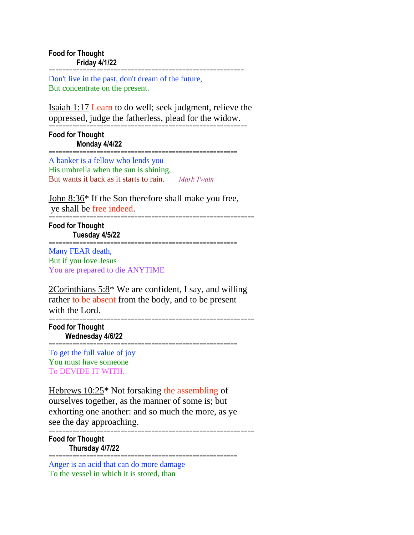========================================================= Don't live in the past, don't dream of the future, But concentrate on the present.

Isaiah 1:17 Learn to do well; seek judgment, relieve the oppressed, judge the fatherless, plead for the widow.

### ========================================================== **Food for Thought Monday 4/4/22**

======================================================= A banker is a fellow who lends you His umbrella when the sun is shining, But wants it back as it starts to rain. *Mark Twain*

John 8:36\* If the Son therefore shall make you free, ye shall be free indeed.

=======================================================

============================================================ **Food for Thought Tuesday 4/5/22**

Many FEAR death, But if you love Jesus You are prepared to die ANYTIME

 $2$ Corinthians 5:8\* We are confident, I say, and willing rather to be absent from the body, and to be present with the Lord. ============================================================

**Food for Thought Wednesday 4/6/22** =======================================================

To get the full value of joy You must have someone To DEVIDE IT WITH.

Hebrews 10:25\* Not forsaking the assembling of ourselves together, as the manner of some is; but exhorting one another: and so much the more, as ye see the day approaching. ============================================================

**Food for Thought Thursday 4/7/22**

======================================================= Anger is an acid that can do more damage To the vessel in which it is stored, than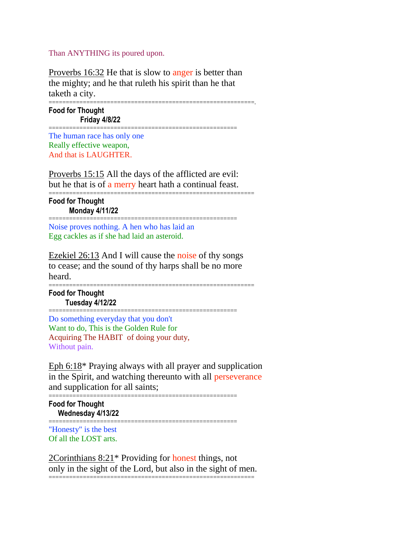Than ANYTHING its poured upon.

Proverbs 16:32 He that is slow to anger is better than the mighty; and he that ruleth his spirit than he that taketh a city.

============================================================.

**Food for Thought Friday 4/8/22**

The human race has only one Really effective weapon, And that is LAUGHTER.

Proverbs 15:15 All the days of the afflicted are evil: but he that is of a merry heart hath a continual feast.

=======================================================

============================================================

=======================================================

**Food for Thought Monday 4/11/22**

Noise proves nothing. A hen who has laid an Egg cackles as if she had laid an asteroid.

Ezekiel 26:13 And I will cause the noise of thy songs to cease; and the sound of thy harps shall be no more heard.

============================================================

**Food for Thought Tuesday 4/12/22**

=======================================================

Do something everyday that you don't Want to do, This is the Golden Rule for Acquiring The HABIT of doing your duty, Without pain.

Eph 6:18\* Praying always with all prayer and supplication in the Spirit, and watching thereunto with all perseverance and supplication for all saints;

=======================================================

=======================================================

**Food for Thought Wednesday 4/13/22**

"Honesty" is the best Of all the LOST arts.

2Corinthians 8:21\* Providing for honest things, not only in the sight of the Lord, but also in the sight of men.

============================================================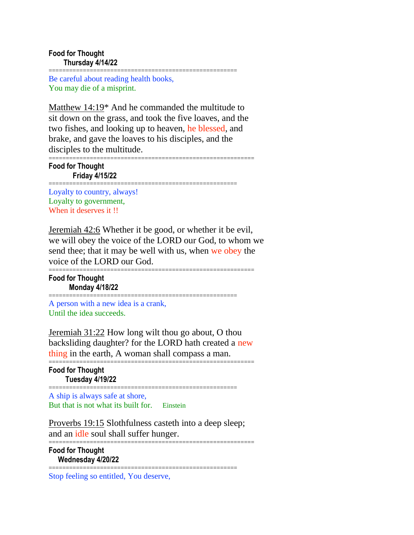## **Food for Thought Thursday 4/14/22**

======================================================= Be careful about reading health books, You may die of a misprint.

Matthew 14:19\* And he commanded the multitude to sit down on the grass, and took the five loaves, and the two fishes, and looking up to heaven, he blessed, and brake, and gave the loaves to his disciples, and the disciples to the multitude.

=======================================================

============================================================ **Food for Thought Friday 4/15/22**

Loyalty to country, always! Loyalty to government, When it deserves it !!

Jeremiah 42:6 Whether it be good, or whether it be evil, we will obey the voice of the LORD our God, to whom we send thee; that it may be well with us, when we obey the voice of the LORD our God.

============================================================ **Food for Thought Monday 4/18/22**

A person with a new idea is a crank, Until the idea succeeds.

Jeremiah 31:22 How long wilt thou go about, O thou backsliding daughter? for the LORD hath created a new thing in the earth, A woman shall compass a man. ============================================================

=======================================================

**Food for Thought Tuesday 4/19/22**

=======================================================

A ship is always safe at shore, But that is not what its built for. Einstein

Proverbs 19:15 Slothfulness casteth into a deep sleep; and an idle soul shall suffer hunger. ============================================================

=======================================================

**Food for Thought Wednesday 4/20/22**

Stop feeling so entitled, You deserve,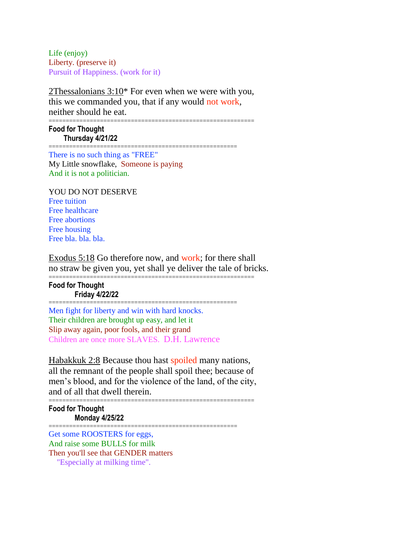Life (enjoy) Liberty. (preserve it) Pursuit of Happiness. (work for it)

2Thessalonians 3:10\* For even when we were with you, this we commanded you, that if any would not work, neither should he eat. ============================================================

**Food for Thought Thursday 4/21/22**

======================================================= There is no such thing as "FREE" My Little snowflake, Someone is paying And it is not a politician.

YOU DO NOT DESERVE Free tuition Free healthcare Free abortions Free housing Free bla. bla. bla.

Exodus 5:18 Go therefore now, and work; for there shall no straw be given you, yet shall ye deliver the tale of bricks.

============================================================

# **Food for Thought Friday 4/22/22**

======================================================= Men fight for liberty and win with hard knocks. Their children are brought up easy, and let it Slip away again, poor fools, and their grand Children are once more SLAVES. D.H. Lawrence

Habakkuk 2:8 Because thou hast spoiled many nations, all the remnant of the people shall spoil thee; because of men's blood, and for the violence of the land, of the city, and of all that dwell therein.

#### ============================================================ **Food for Thought Monday 4/25/22**

======================================================= Get some ROOSTERS for eggs, And raise some BULLS for milk Then you'll see that GENDER matters "Especially at milking time".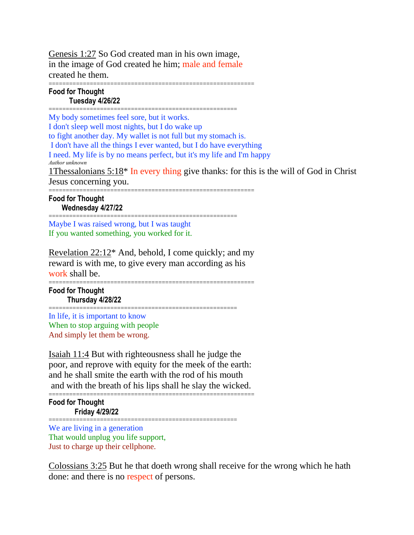Genesis 1:27 So God created man in his own image, in the image of God created he him; male and female created he them.

#### ============================================================ **Food for Thought Tuesday 4/26/22**

======================================================= My body sometimes feel sore, but it works. I don't sleep well most nights, but I do wake up to fight another day. My wallet is not full but my stomach is. I don't have all the things I ever wanted, but I do have everything I need. My life is by no means perfect, but it's my life and I'm happy *Author unknown* 1 Thessalonians  $5:18*$  In every thing give thanks: for this is the will of God in Christ Jesus concerning you. ============================================================

**Food for Thought Wednesday 4/27/22** =======================================================

Maybe I was raised wrong, but I was taught If you wanted something, you worked for it.

Revelation  $22:12^*$  And, behold, I come quickly; and my reward is with me, to give every man according as his work shall be.

============================================================ **Food for Thought Thursday 4/28/22**

======================================================= In life, it is important to know When to stop arguing with people And simply let them be wrong.

Isaiah 11:4 But with righteousness shall he judge the poor, and reprove with equity for the meek of the earth: and he shall smite the earth with the rod of his mouth and with the breath of his lips shall he slay the wicked. ============================================================

**Food for Thought Friday 4/29/22**

======================================================= We are living in a generation That would unplug you life support, Just to charge up their cellphone.

Colossians 3:25 But he that doeth wrong shall receive for the wrong which he hath done: and there is no respect of persons.